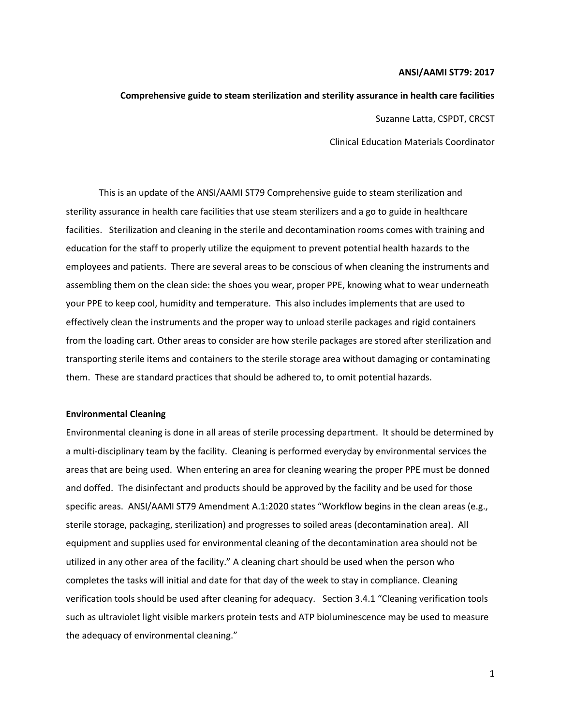#### **ANSI/AAMI ST79: 2017**

# **Comprehensive guide to steam sterilization and sterility assurance in health care facilities**

Suzanne Latta, CSPDT, CRCST

Clinical Education Materials Coordinator

This is an update of the ANSI/AAMI ST79 Comprehensive guide to steam sterilization and sterility assurance in health care facilities that use steam sterilizers and a go to guide in healthcare facilities. Sterilization and cleaning in the sterile and decontamination rooms comes with training and education for the staff to properly utilize the equipment to prevent potential health hazards to the employees and patients. There are several areas to be conscious of when cleaning the instruments and assembling them on the clean side: the shoes you wear, proper PPE, knowing what to wear underneath your PPE to keep cool, humidity and temperature. This also includes implements that are used to effectively clean the instruments and the proper way to unload sterile packages and rigid containers from the loading cart. Other areas to consider are how sterile packages are stored after sterilization and transporting sterile items and containers to the sterile storage area without damaging or contaminating them. These are standard practices that should be adhered to, to omit potential hazards.

#### **Environmental Cleaning**

Environmental cleaning is done in all areas of sterile processing department. It should be determined by a multi-disciplinary team by the facility. Cleaning is performed everyday by environmental services the areas that are being used. When entering an area for cleaning wearing the proper PPE must be donned and doffed. The disinfectant and products should be approved by the facility and be used for those specific areas. ANSI/AAMI ST79 Amendment A.1:2020 states "Workflow begins in the clean areas (e.g., sterile storage, packaging, sterilization) and progresses to soiled areas (decontamination area). All equipment and supplies used for environmental cleaning of the decontamination area should not be utilized in any other area of the facility." A cleaning chart should be used when the person who completes the tasks will initial and date for that day of the week to stay in compliance. Cleaning verification tools should be used after cleaning for adequacy. Section 3.4.1 "Cleaning verification tools such as ultraviolet light visible markers protein tests and ATP bioluminescence may be used to measure the adequacy of environmental cleaning."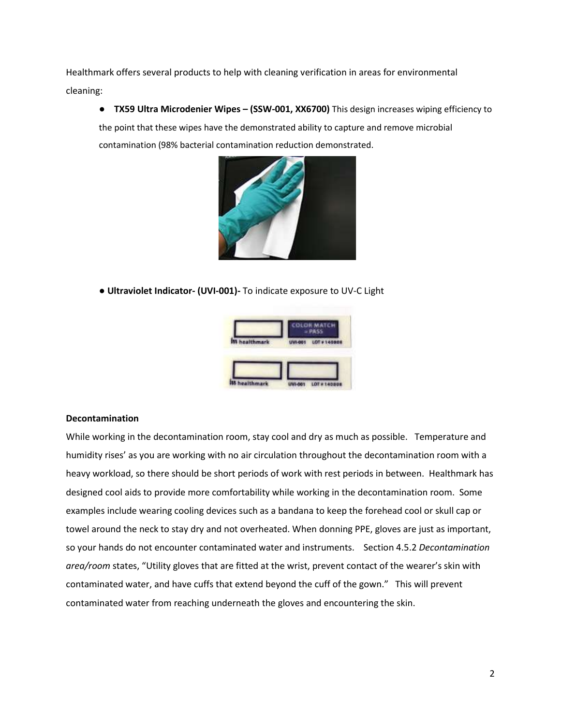Healthmark offers several products to help with cleaning verification in areas for environmental cleaning:

● **TX59 Ultra Microdenier Wipes – (SSW-001, XX6700)** This design increases wiping efficiency to the point that these wipes have the demonstrated ability to capture and remove microbial contamination (98% bacterial contamination reduction demonstrated.



● **Ultraviolet Indicator- (UVI-001)-** To indicate exposure to UV-C Light



## **Decontamination**

While working in the decontamination room, stay cool and dry as much as possible. Temperature and humidity rises' as you are working with no air circulation throughout the decontamination room with a heavy workload, so there should be short periods of work with rest periods in between. Healthmark has designed cool aids to provide more comfortability while working in the decontamination room. Some examples include wearing cooling devices such as a bandana to keep the forehead cool or skull cap or towel around the neck to stay dry and not overheated. When donning PPE, gloves are just as important, so your hands do not encounter contaminated water and instruments. Section 4.5.2 *Decontamination area/room* states, "Utility gloves that are fitted at the wrist, prevent contact of the wearer's skin with contaminated water, and have cuffs that extend beyond the cuff of the gown." This will prevent contaminated water from reaching underneath the gloves and encountering the skin.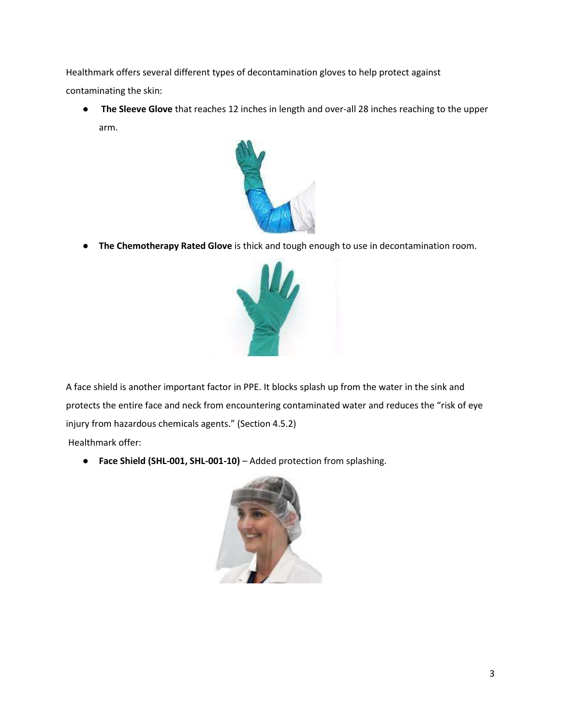Healthmark offers several different types of decontamination gloves to help protect against contaminating the skin:

● **The Sleeve Glove** that reaches 12 inches in length and over-all 28 inches reaching to the upper arm.



● **The Chemotherapy Rated Glove** is thick and tough enough to use in decontamination room.



A face shield is another important factor in PPE. It blocks splash up from the water in the sink and protects the entire face and neck from encountering contaminated water and reduces the "risk of eye injury from hazardous chemicals agents." (Section 4.5.2)

Healthmark offer:

● **Face Shield (SHL-001, SHL-001-10)** – Added protection from splashing.

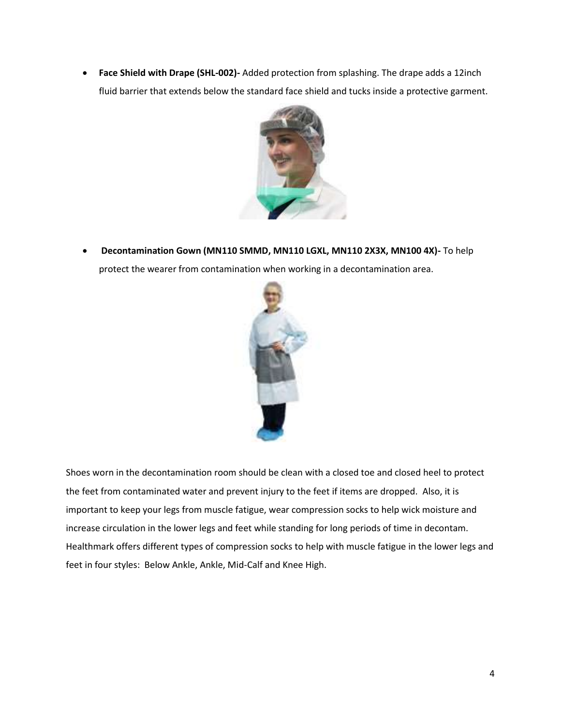• **Face Shield with Drape (SHL-002)-** Added protection from splashing. The drape adds a 12inch fluid barrier that extends below the standard face shield and tucks inside a protective garment.



• **Decontamination Gown (MN110 SMMD, MN110 LGXL, MN110 2X3X, MN100 4X)-** To help protect the wearer from contamination when working in a decontamination area.



Shoes worn in the decontamination room should be clean with a closed toe and closed heel to protect the feet from contaminated water and prevent injury to the feet if items are dropped. Also, it is important to keep your legs from muscle fatigue, wear compression socks to help wick moisture and increase circulation in the lower legs and feet while standing for long periods of time in decontam. Healthmark offers different types of compression socks to help with muscle fatigue in the lower legs and feet in four styles: Below Ankle, Ankle, Mid-Calf and Knee High.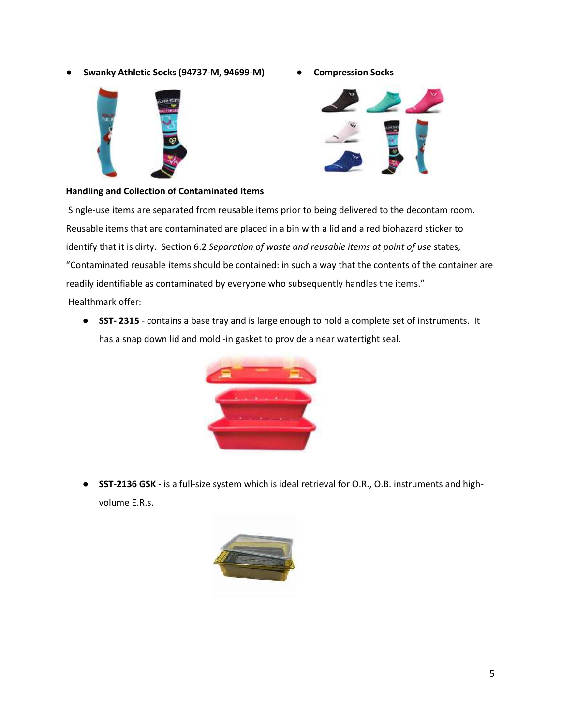● **Swanky Athletic Socks (94737-M, 94699-M) ● Compression Socks**





#### **Handling and Collection of Contaminated Items**

Single-use items are separated from reusable items prior to being delivered to the decontam room. Reusable items that are contaminated are placed in a bin with a lid and a red biohazard sticker to identify that it is dirty. Section 6.2 *Separation of waste and reusable items at point of use* states, "Contaminated reusable items should be contained: in such a way that the contents of the container are readily identifiable as contaminated by everyone who subsequently handles the items." Healthmark offer:

● **SST- 2315** - contains a base tray and is large enough to hold a complete set of instruments. It has a snap down lid and mold -in gasket to provide a near watertight seal.



● **SST-2136 GSK -** is a full-size system which is ideal retrieval for O.R., O.B. instruments and highvolume E.R.s.

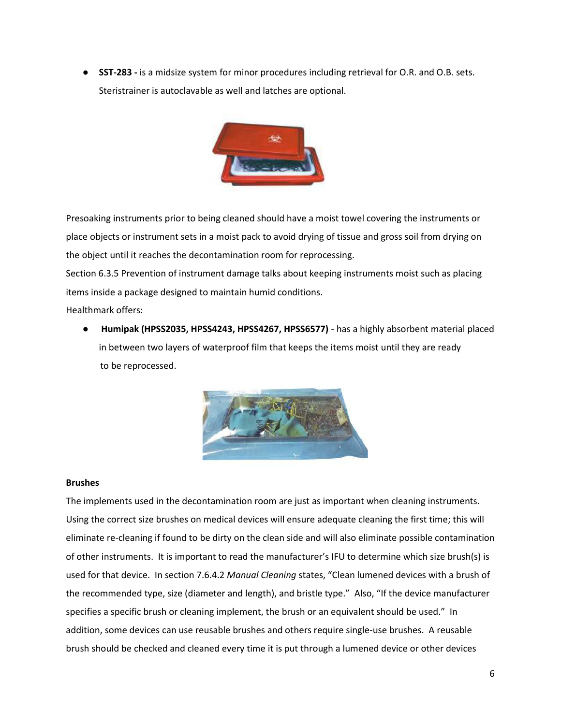● **SST-283 -** is a midsize system for minor procedures including retrieval for O.R. and O.B. sets. Steristrainer is autoclavable as well and latches are optional.



Presoaking instruments prior to being cleaned should have a moist towel covering the instruments or place objects or instrument sets in a moist pack to avoid drying of tissue and gross soil from drying on the object until it reaches the decontamination room for reprocessing.

Section 6.3.5 Prevention of instrument damage talks about keeping instruments moist such as placing items inside a package designed to maintain humid conditions.

Healthmark offers:

● **Humipak (HPSS2035, HPSS4243, HPSS4267, HPSS6577)** - has a highly absorbent material placed in between two layers of waterproof film that keeps the items moist until they are ready to be reprocessed.



## **Brushes**

The implements used in the decontamination room are just as important when cleaning instruments. Using the correct size brushes on medical devices will ensure adequate cleaning the first time; this will eliminate re-cleaning if found to be dirty on the clean side and will also eliminate possible contamination of other instruments. It is important to read the manufacturer's IFU to determine which size brush(s) is used for that device. In section 7.6.4.2 *Manual Cleaning* states, "Clean lumened devices with a brush of the recommended type, size (diameter and length), and bristle type." Also, "If the device manufacturer specifies a specific brush or cleaning implement, the brush or an equivalent should be used." In addition, some devices can use reusable brushes and others require single-use brushes. A reusable brush should be checked and cleaned every time it is put through a lumened device or other devices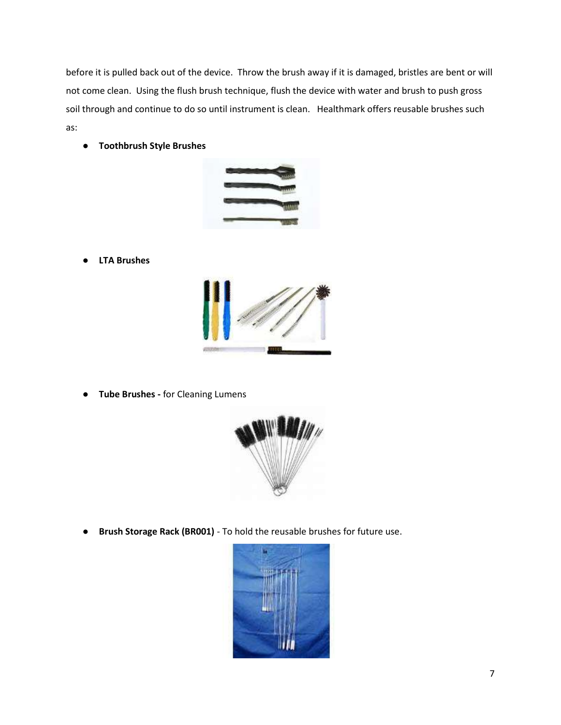before it is pulled back out of the device. Throw the brush away if it is damaged, bristles are bent or will not come clean. Using the flush brush technique, flush the device with water and brush to push gross soil through and continue to do so until instrument is clean. Healthmark offers reusable brushes such as:

● **Toothbrush Style Brushes**



● **LTA Brushes**



● **Tube Brushes -** for Cleaning Lumens



● **Brush Storage Rack (BR001)** - To hold the reusable brushes for future use.

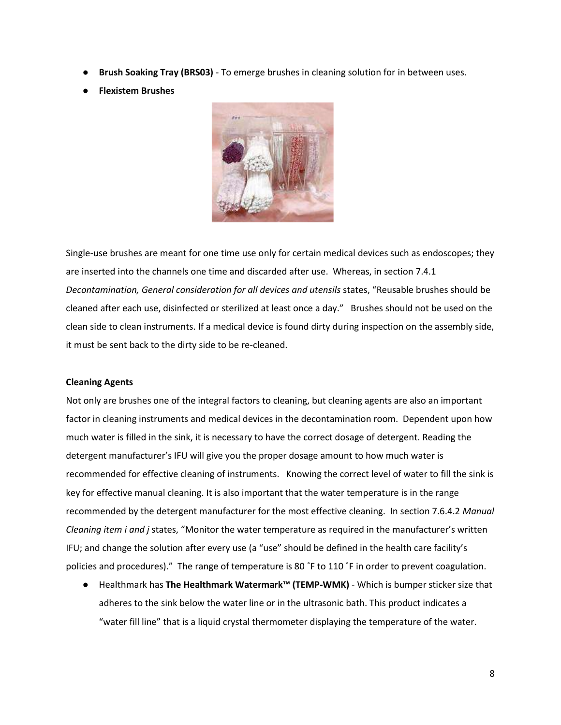- **Brush Soaking Tray (BRS03)** To emerge brushes in cleaning solution for in between uses.
- **Flexistem Brushes**



Single-use brushes are meant for one time use only for certain medical devices such as endoscopes; they are inserted into the channels one time and discarded after use. Whereas, in section 7.4.1 *Decontamination, General consideration for all devices and utensils* states, "Reusable brushes should be cleaned after each use, disinfected or sterilized at least once a day." Brushes should not be used on the clean side to clean instruments. If a medical device is found dirty during inspection on the assembly side, it must be sent back to the dirty side to be re-cleaned.

#### **Cleaning Agents**

Not only are brushes one of the integral factors to cleaning, but cleaning agents are also an important factor in cleaning instruments and medical devices in the decontamination room. Dependent upon how much water is filled in the sink, it is necessary to have the correct dosage of detergent. Reading the detergent manufacturer's IFU will give you the proper dosage amount to how much water is recommended for effective cleaning of instruments. Knowing the correct level of water to fill the sink is key for effective manual cleaning. It is also important that the water temperature is in the range recommended by the detergent manufacturer for the most effective cleaning. In section 7.6.4.2 *Manual Cleaning item i and j* states, "Monitor the water temperature as required in the manufacturer's written IFU; and change the solution after every use (a "use" should be defined in the health care facility's policies and procedures)." The range of temperature is 80 ˚F to 110 ˚F in order to prevent coagulation.

● Healthmark has **The Healthmark Watermark™ (TEMP-WMK)** - Which is bumper sticker size that adheres to the sink below the water line or in the ultrasonic bath. This product indicates a "water fill line" that is a liquid crystal thermometer displaying the temperature of the water.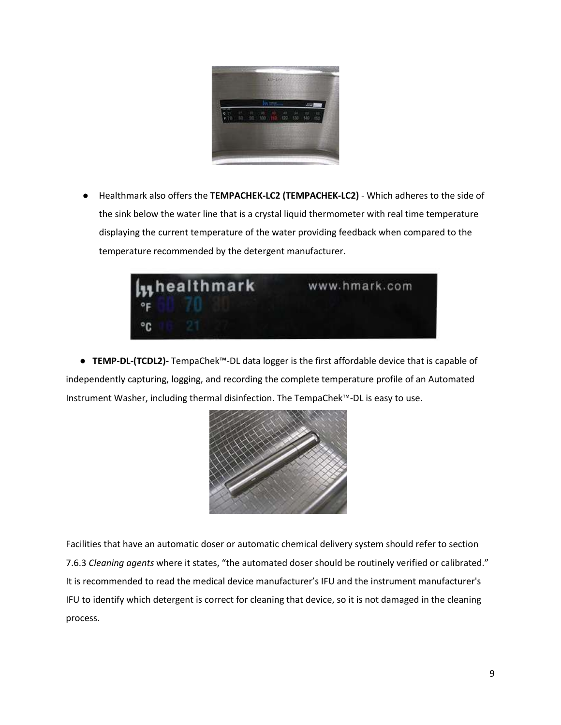

● Healthmark also offers the **TEMPACHEK-LC2 (TEMPACHEK-LC2)** - Which adheres to the side of the sink below the water line that is a crystal liquid thermometer with real time temperature displaying the current temperature of the water providing feedback when compared to the temperature recommended by the detergent manufacturer.



 **● TEMP-DL-(TCDL2)-** TempaChek™-DL data logger is the first affordable device that is capable of independently capturing, logging, and recording the complete temperature profile of an Automated Instrument Washer, including thermal disinfection. The TempaChek™-DL is easy to use.



Facilities that have an automatic doser or automatic chemical delivery system should refer to section 7.6.3 *Cleaning agents* where it states, "the automated doser should be routinely verified or calibrated." It is recommended to read the medical device manufacturer's IFU and the instrument manufacturer's IFU to identify which detergent is correct for cleaning that device, so it is not damaged in the cleaning process.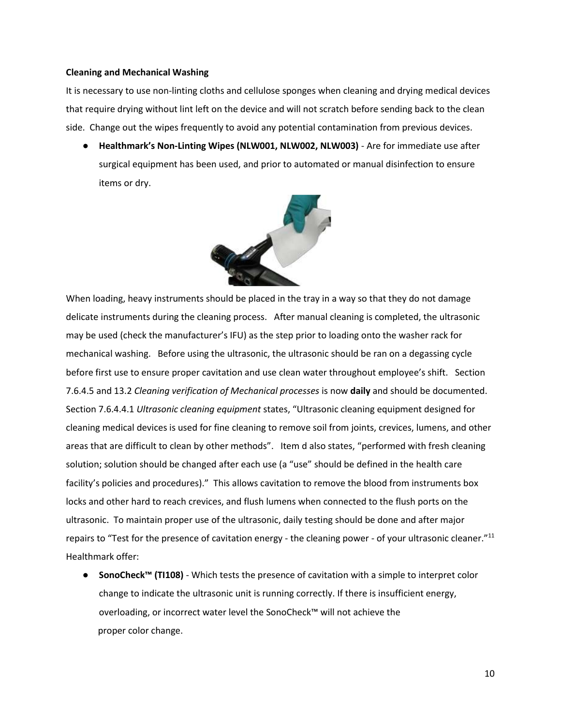#### **Cleaning and Mechanical Washing**

It is necessary to use non-linting cloths and cellulose sponges when cleaning and drying medical devices that require drying without lint left on the device and will not scratch before sending back to the clean side. Change out the wipes frequently to avoid any potential contamination from previous devices.

● **Healthmark's Non-Linting Wipes (NLW001, NLW002, NLW003)** - Are for immediate use after surgical equipment has been used, and prior to automated or manual disinfection to ensure items or dry.



When loading, heavy instruments should be placed in the tray in a way so that they do not damage delicate instruments during the cleaning process. After manual cleaning is completed, the ultrasonic may be used (check the manufacturer's IFU) as the step prior to loading onto the washer rack for mechanical washing. Before using the ultrasonic, the ultrasonic should be ran on a degassing cycle before first use to ensure proper cavitation and use clean water throughout employee's shift. Section 7.6.4.5 and 13.2 *Cleaning verification of Mechanical processes* is now **daily** and should be documented. Section 7.6.4.4.1 *Ultrasonic cleaning equipment* states, "Ultrasonic cleaning equipment designed for cleaning medical devices is used for fine cleaning to remove soil from joints, crevices, lumens, and other areas that are difficult to clean by other methods". Item d also states, "performed with fresh cleaning solution; solution should be changed after each use (a "use" should be defined in the health care facility's policies and procedures)." This allows cavitation to remove the blood from instruments box locks and other hard to reach crevices, and flush lumens when connected to the flush ports on the ultrasonic. To maintain proper use of the ultrasonic, daily testing should be done and after major repairs to "Test for the presence of cavitation energy - the cleaning power - of your ultrasonic cleaner."<sup>11</sup> Healthmark offer:

● **SonoCheck™ (TI108)** - Which tests the presence of cavitation with a simple to interpret color change to indicate the ultrasonic unit is running correctly. If there is insufficient energy, overloading, or incorrect water level the SonoCheck™ will not achieve the proper color change.

10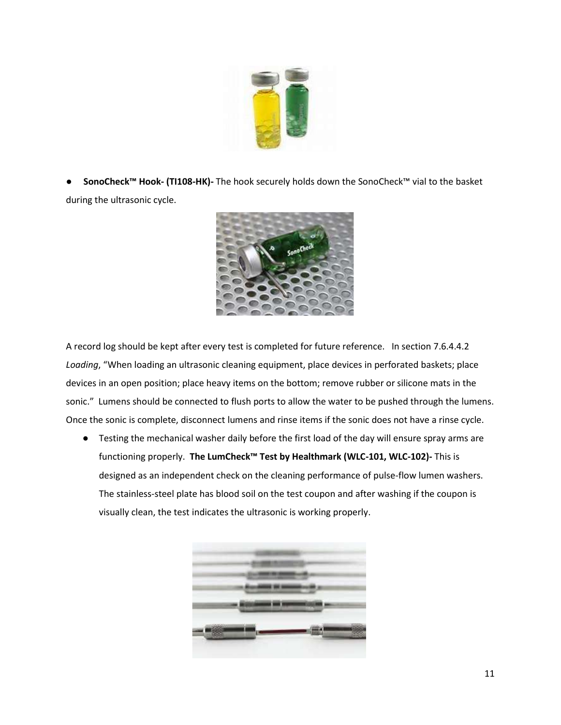

● **SonoCheck™ Hook- (TI108-HK)-** The hook securely holds down the SonoCheck™ vial to the basket during the ultrasonic cycle.



A record log should be kept after every test is completed for future reference. In section 7.6.4.4.2 *Loading*, "When loading an ultrasonic cleaning equipment, place devices in perforated baskets; place devices in an open position; place heavy items on the bottom; remove rubber or silicone mats in the sonic." Lumens should be connected to flush ports to allow the water to be pushed through the lumens. Once the sonic is complete, disconnect lumens and rinse items if the sonic does not have a rinse cycle.

● Testing the mechanical washer daily before the first load of the day will ensure spray arms are functioning properly. **The LumCheck™ Test by Healthmark (WLC-101, WLC-102)-** This is designed as an independent check on the cleaning performance of pulse-flow lumen washers. The stainless-steel plate has blood soil on the test coupon and after washing if the coupon is visually clean, the test indicates the ultrasonic is working properly.

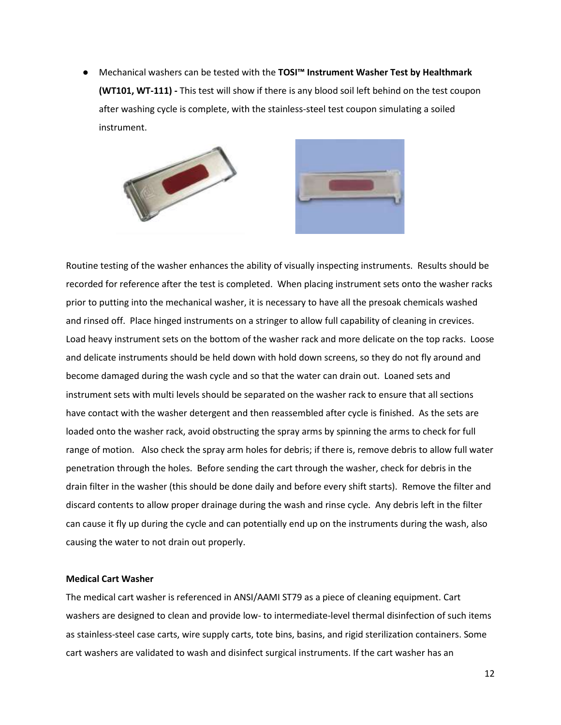● Mechanical washers can be tested with the **TOSI™ Instrument Washer Test by Healthmark (WT101, WT-111) -** This test will show if there is any blood soil left behind on the test coupon after washing cycle is complete, with the stainless-steel test coupon simulating a soiled instrument.





Routine testing of the washer enhances the ability of visually inspecting instruments. Results should be recorded for reference after the test is completed. When placing instrument sets onto the washer racks prior to putting into the mechanical washer, it is necessary to have all the presoak chemicals washed and rinsed off. Place hinged instruments on a stringer to allow full capability of cleaning in crevices. Load heavy instrument sets on the bottom of the washer rack and more delicate on the top racks. Loose and delicate instruments should be held down with hold down screens, so they do not fly around and become damaged during the wash cycle and so that the water can drain out. Loaned sets and instrument sets with multi levels should be separated on the washer rack to ensure that all sections have contact with the washer detergent and then reassembled after cycle is finished. As the sets are loaded onto the washer rack, avoid obstructing the spray arms by spinning the arms to check for full range of motion. Also check the spray arm holes for debris; if there is, remove debris to allow full water penetration through the holes. Before sending the cart through the washer, check for debris in the drain filter in the washer (this should be done daily and before every shift starts). Remove the filter and discard contents to allow proper drainage during the wash and rinse cycle. Any debris left in the filter can cause it fly up during the cycle and can potentially end up on the instruments during the wash, also causing the water to not drain out properly.

### **Medical Cart Washer**

The medical cart washer is referenced in ANSI/AAMI ST79 as a piece of cleaning equipment. Cart washers are designed to clean and provide low- to intermediate-level thermal disinfection of such items as stainless-steel case carts, wire supply carts, tote bins, basins, and rigid sterilization containers. Some cart washers are validated to wash and disinfect surgical instruments. If the cart washer has an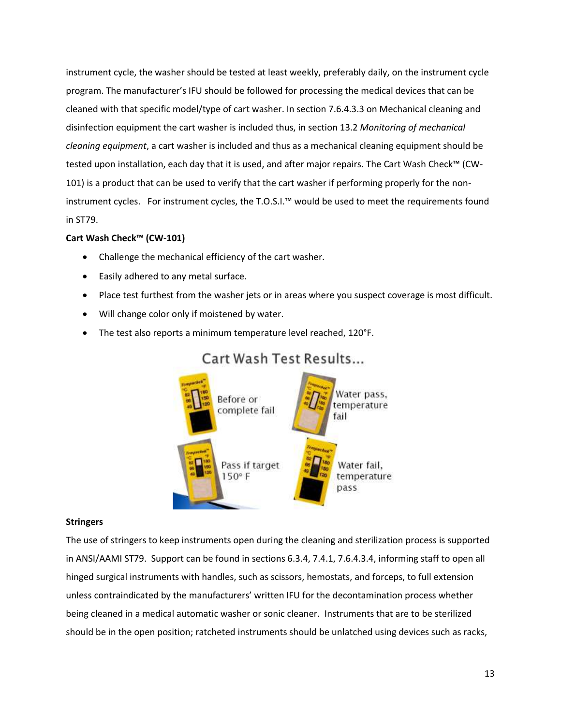instrument cycle, the washer should be tested at least weekly, preferably daily, on the instrument cycle program. The manufacturer's IFU should be followed for processing the medical devices that can be cleaned with that specific model/type of cart washer. In section 7.6.4.3.3 on Mechanical cleaning and disinfection equipment the cart washer is included thus, in section 13.2 *Monitoring of mechanical cleaning equipment*, a cart washer is included and thus as a mechanical cleaning equipment should be tested upon installation, each day that it is used, and after major repairs. The Cart Wash Check™ (CW-101) is a product that can be used to verify that the cart washer if performing properly for the noninstrument cycles. For instrument cycles, the T.O.S.I.™ would be used to meet the requirements found in ST79.

## **Cart Wash Check™ (CW-101)**

- Challenge the mechanical efficiency of the cart washer.
- Easily adhered to any metal surface.
- Place test furthest from the washer jets or in areas where you suspect coverage is most difficult.
- Will change color only if moistened by water.
- The test also reports a minimum temperature level reached, 120°F.



# Cart Wash Test Results...

#### **Stringers**

The use of stringers to keep instruments open during the cleaning and sterilization process is supported in ANSI/AAMI ST79. Support can be found in sections 6.3.4, 7.4.1, 7.6.4.3.4, informing staff to open all hinged surgical instruments with handles, such as scissors, hemostats, and forceps, to full extension unless contraindicated by the manufacturers' written IFU for the decontamination process whether being cleaned in a medical automatic washer or sonic cleaner. Instruments that are to be sterilized should be in the open position; ratcheted instruments should be unlatched using devices such as racks,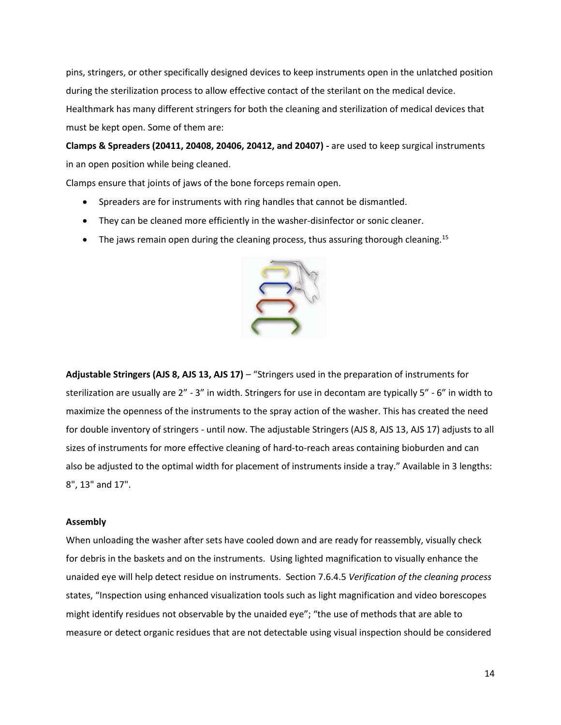pins, stringers, or other specifically designed devices to keep instruments open in the unlatched position during the sterilization process to allow effective contact of the sterilant on the medical device. Healthmark has many different stringers for both the cleaning and sterilization of medical devices that must be kept open. Some of them are:

**Clamps & Spreaders (20411, 20408, 20406, 20412, and 20407) -** are used to keep surgical instruments in an open position while being cleaned.

Clamps ensure that joints of jaws of the bone forceps remain open.

- Spreaders are for instruments with ring handles that cannot be dismantled.
- They can be cleaned more efficiently in the washer-disinfector or sonic cleaner.
- The jaws remain open during the cleaning process, thus assuring thorough cleaning.<sup>15</sup>



**Adjustable Stringers (AJS 8, AJS 13, AJS 17)** – "Stringers used in the preparation of instruments for sterilization are usually are 2" - 3" in width. Stringers for use in decontam are typically 5" - 6" in width to maximize the openness of the instruments to the spray action of the washer. This has created the need for double inventory of stringers - until now. The adjustable Stringers (AJS 8, AJS 13, AJS 17) adjusts to all sizes of instruments for more effective cleaning of hard-to-reach areas containing bioburden and can also be adjusted to the optimal width for placement of instruments inside a tray." Available in 3 lengths: 8", 13" and 17".

#### **Assembly**

When unloading the washer after sets have cooled down and are ready for reassembly, visually check for debris in the baskets and on the instruments. Using lighted magnification to visually enhance the unaided eye will help detect residue on instruments. Section 7.6.4.5 *Verification of the cleaning process* states, "Inspection using enhanced visualization tools such as light magnification and video borescopes might identify residues not observable by the unaided eye"; "the use of methods that are able to measure or detect organic residues that are not detectable using visual inspection should be considered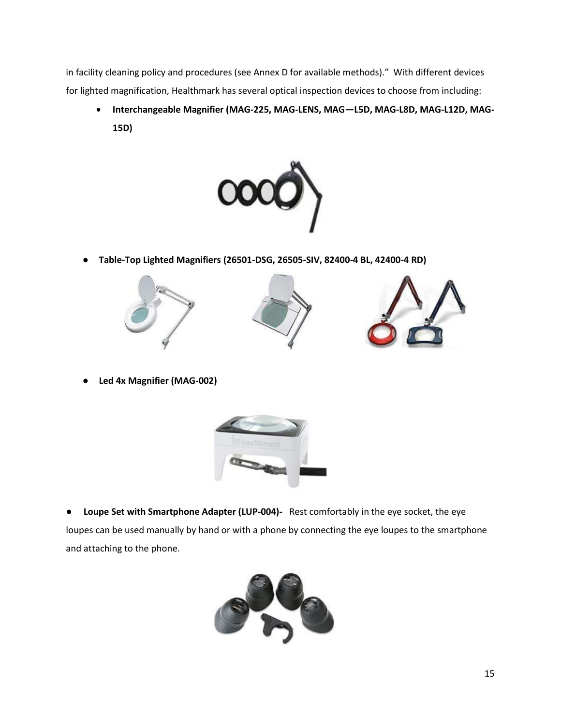in facility cleaning policy and procedures (see Annex D for available methods)." With different devices for lighted magnification, Healthmark has several optical inspection devices to choose from including:

• **Interchangeable Magnifier (MAG-225, MAG-LENS, MAG—L5D, MAG-L8D, MAG-L12D, MAG-15D)** 



● **Table-Top Lighted Magnifiers (26501-DSG, 26505-SIV, 82400-4 BL, 42400-4 RD)**







● **Led 4x Magnifier (MAG-002)**



● **Loupe Set with Smartphone Adapter (LUP-004)-** Rest comfortably in the eye socket, the eye loupes can be used manually by hand or with a phone by connecting the eye loupes to the smartphone and attaching to the phone.

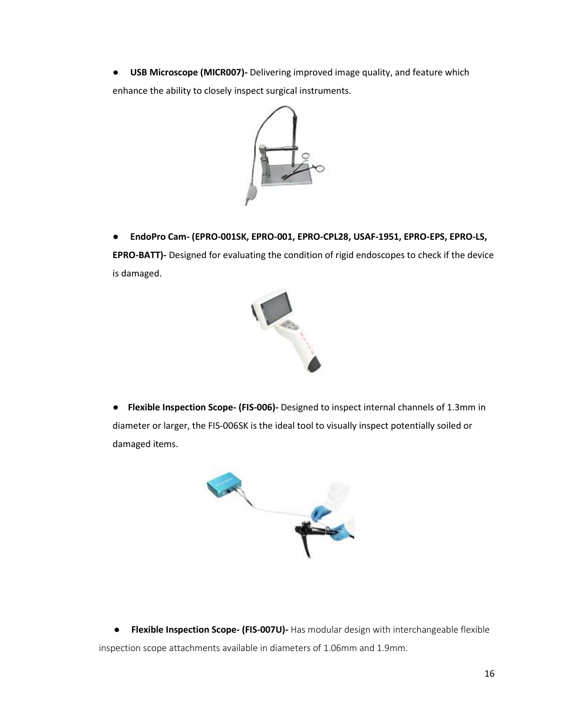● **USB Microscope (MICR007)-** Delivering improved image quality, and feature which enhance the ability to closely inspect surgical instruments.



● **EndoPro Cam- (EPRO-001SK, EPRO-001, EPRO-CPL28, USAF-1951, EPRO-EPS, EPRO-LS,** 

**EPRO-BATT)-** Designed for evaluating the condition of rigid endoscopes to check if the device is damaged.



**● Flexible Inspection Scope- (FIS-006)-** Designed to inspect internal channels of 1.3mm in diameter or larger, the FIS-006SK is the ideal tool to visually inspect potentially soiled or damaged items.



 ● **Flexible Inspection Scope- (FIS-007U)-** Has modular design with interchangeable flexible inspection scope attachments available in diameters of 1.06mm and 1.9mm.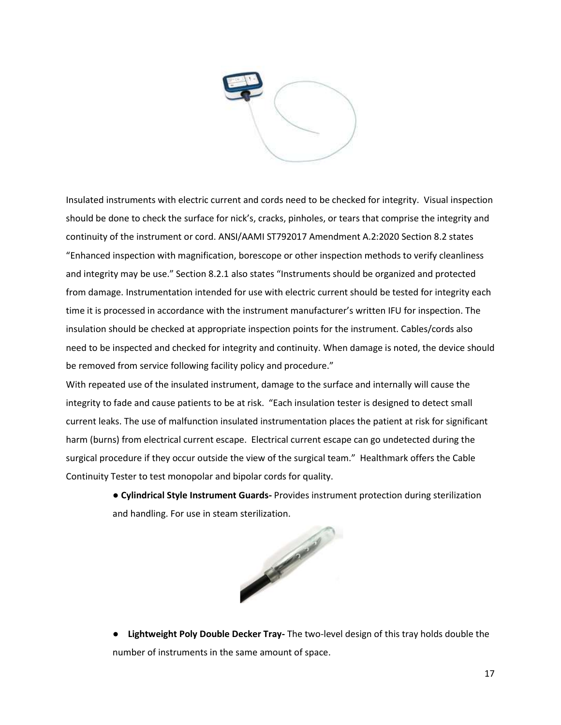

Insulated instruments with electric current and cords need to be checked for integrity. Visual inspection should be done to check the surface for nick's, cracks, pinholes, or tears that comprise the integrity and continuity of the instrument or cord. ANSI/AAMI ST792017 Amendment A.2:2020 Section 8.2 states "Enhanced inspection with magnification, borescope or other inspection methods to verify cleanliness and integrity may be use." Section 8.2.1 also states "Instruments should be organized and protected from damage. Instrumentation intended for use with electric current should be tested for integrity each time it is processed in accordance with the instrument manufacturer's written IFU for inspection. The insulation should be checked at appropriate inspection points for the instrument. Cables/cords also need to be inspected and checked for integrity and continuity. When damage is noted, the device should be removed from service following facility policy and procedure."

With repeated use of the insulated instrument, damage to the surface and internally will cause the integrity to fade and cause patients to be at risk. "Each insulation tester is designed to detect small current leaks. The use of malfunction insulated instrumentation places the patient at risk for significant harm (burns) from electrical current escape. Electrical current escape can go undetected during the surgical procedure if they occur outside the view of the surgical team." Healthmark offers the Cable Continuity Tester to test monopolar and bipolar cords for quality.

> ● **Cylindrical Style Instrument Guards-** Provides instrument protection during sterilization and handling. For use in steam sterilization.



● **Lightweight Poly Double Decker Tray-** The two-level design of this tray holds double the number of instruments in the same amount of space.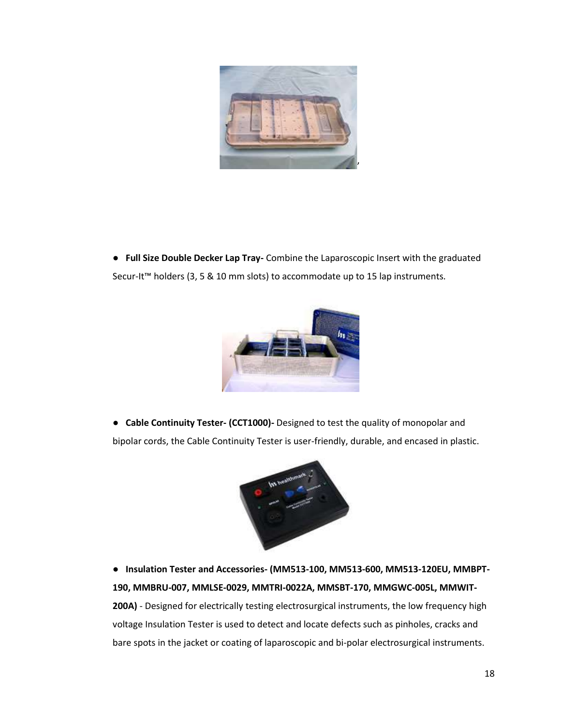

**● Full Size Double Decker Lap Tray-** Combine the Laparoscopic Insert with the graduated Secur-It™ holders (3, 5 & 10 mm slots) to accommodate up to 15 lap instruments.



**● Cable Continuity Tester- (CCT1000)-** Designed to test the quality of monopolar and bipolar cords, the Cable Continuity Tester is user-friendly, durable, and encased in plastic.



● **Insulation Tester and Accessories- (MM513-100, MM513-600, MM513-120EU, MMBPT-190, MMBRU-007, MMLSE-0029, MMTRI-0022A, MMSBT-170, MMGWC-005L, MMWIT-200A)** - Designed for electrically testing electrosurgical instruments, the low frequency high voltage Insulation Tester is used to detect and locate defects such as pinholes, cracks and bare spots in the jacket or coating of laparoscopic and bi-polar electrosurgical instruments.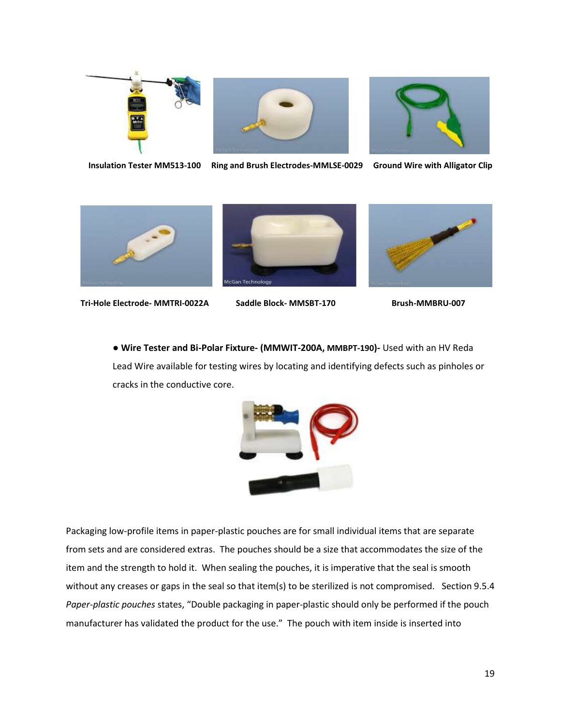





**Insulation Tester MM513-100 Ring and Brush Electrodes-MMLSE-0029 Ground Wire with Alligator Clip**



 **Tri-Hole Electrode- MMTRI-0022A Saddle Block- MMSBT-170 Brush-MMBRU-007** 





● **Wire Tester and Bi-Polar Fixture- (MMWIT-200A, MMBPT-190)-** Used with an HV Reda Lead Wire available for testing wires by locating and identifying defects such as pinholes or cracks in the conductive core.



Packaging low-profile items in paper-plastic pouches are for small individual items that are separate from sets and are considered extras. The pouches should be a size that accommodates the size of the item and the strength to hold it. When sealing the pouches, it is imperative that the seal is smooth without any creases or gaps in the seal so that item(s) to be sterilized is not compromised. Section 9.5.4 *Paper-plastic pouches* states, "Double packaging in paper-plastic should only be performed if the pouch manufacturer has validated the product for the use." The pouch with item inside is inserted into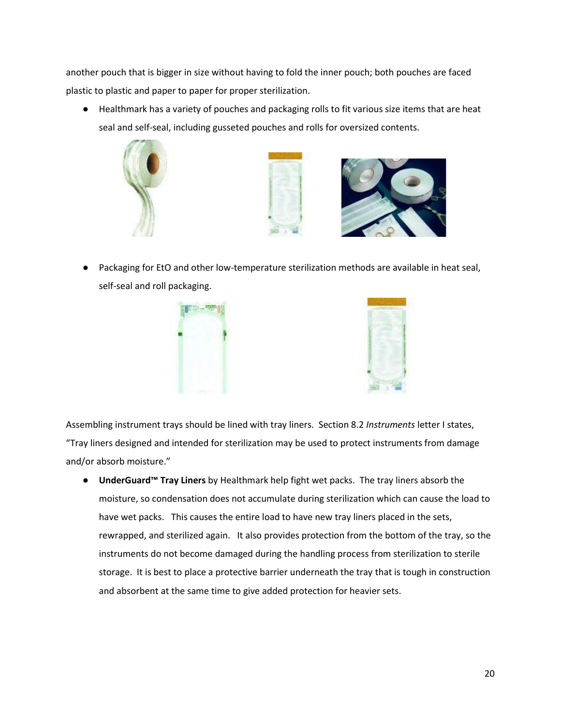another pouch that is bigger in size without having to fold the inner pouch; both pouches are faced plastic to plastic and paper to paper for proper sterilization.

● Healthmark has a variety of pouches and packaging rolls to fit various size items that are heat seal and self-seal, including gusseted pouches and rolls for oversized contents.







Packaging for EtO and other low-temperature sterilization methods are available in heat seal, self-seal and roll packaging.





Assembling instrument trays should be lined with tray liners. Section 8.2 *Instruments* letter I states, "Tray liners designed and intended for sterilization may be used to protect instruments from damage and/or absorb moisture."

● **UnderGuard™ Tray Liners** by Healthmark help fight wet packs. The tray liners absorb the moisture, so condensation does not accumulate during sterilization which can cause the load to have wet packs. This causes the entire load to have new tray liners placed in the sets, rewrapped, and sterilized again. It also provides protection from the bottom of the tray, so the instruments do not become damaged during the handling process from sterilization to sterile storage. It is best to place a protective barrier underneath the tray that is tough in construction and absorbent at the same time to give added protection for heavier sets.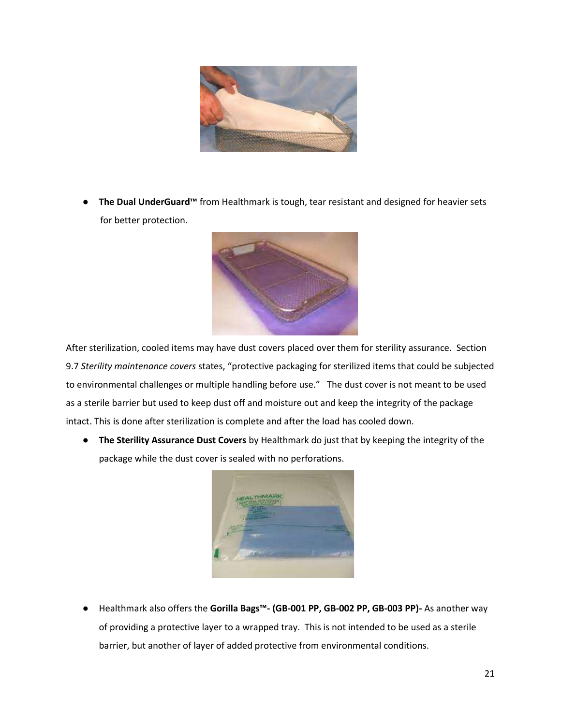

● **The Dual UnderGuard™** from Healthmark is tough, tear resistant and designed for heavier sets for better protection.



After sterilization, cooled items may have dust covers placed over them for sterility assurance. Section 9.7 *Sterility maintenance covers* states, "protective packaging for sterilized items that could be subjected to environmental challenges or multiple handling before use." The dust cover is not meant to be used as a sterile barrier but used to keep dust off and moisture out and keep the integrity of the package intact. This is done after sterilization is complete and after the load has cooled down.

● **The Sterility Assurance Dust Covers** by Healthmark do just that by keeping the integrity of the package while the dust cover is sealed with no perforations.



● Healthmark also offers the **Gorilla Bags™- (GB-001 PP, GB-002 PP, GB-003 PP)-** As another way of providing a protective layer to a wrapped tray. This is not intended to be used as a sterile barrier, but another of layer of added protective from environmental conditions.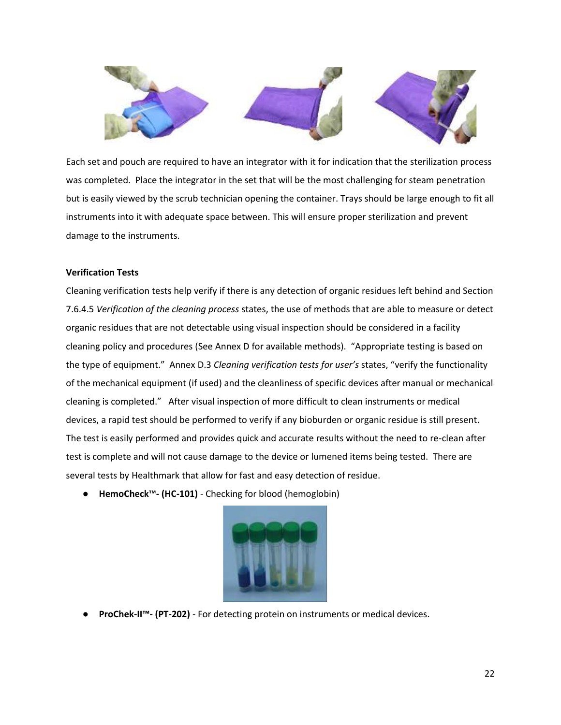

Each set and pouch are required to have an integrator with it for indication that the sterilization process was completed. Place the integrator in the set that will be the most challenging for steam penetration but is easily viewed by the scrub technician opening the container. Trays should be large enough to fit all instruments into it with adequate space between. This will ensure proper sterilization and prevent damage to the instruments.

## **Verification Tests**

Cleaning verification tests help verify if there is any detection of organic residues left behind and Section 7.6.4.5 *Verification of the cleaning process* states, the use of methods that are able to measure or detect organic residues that are not detectable using visual inspection should be considered in a facility cleaning policy and procedures (See Annex D for available methods). "Appropriate testing is based on the type of equipment." Annex D.3 *Cleaning verification tests for user's* states, "verify the functionality of the mechanical equipment (if used) and the cleanliness of specific devices after manual or mechanical cleaning is completed." After visual inspection of more difficult to clean instruments or medical devices, a rapid test should be performed to verify if any bioburden or organic residue is still present. The test is easily performed and provides quick and accurate results without the need to re-clean after test is complete and will not cause damage to the device or lumened items being tested. There are several tests by Healthmark that allow for fast and easy detection of residue.

● **HemoCheck™- (HC-101)** - Checking for blood (hemoglobin)



● **ProChek-II™- (PT-202)** - For detecting protein on instruments or medical devices.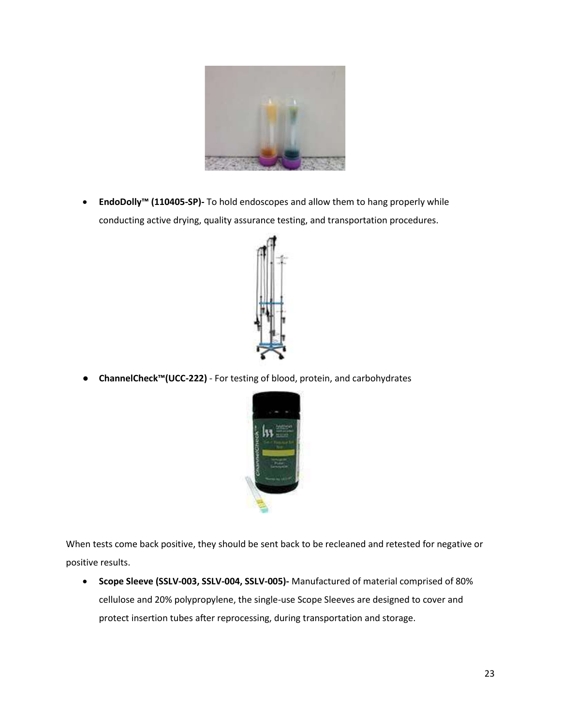

• **EndoDolly™ (110405-SP)-** To hold endoscopes and allow them to hang properly while conducting active drying, quality assurance testing, and transportation procedures.



● **ChannelCheck™(UCC-222)** - For testing of blood, protein, and carbohydrates



When tests come back positive, they should be sent back to be recleaned and retested for negative or positive results.

• **Scope Sleeve (SSLV-003, SSLV-004, SSLV-005)-** Manufactured of material comprised of 80% cellulose and 20% polypropylene, the single-use Scope Sleeves are designed to cover and protect insertion tubes after reprocessing, during transportation and storage.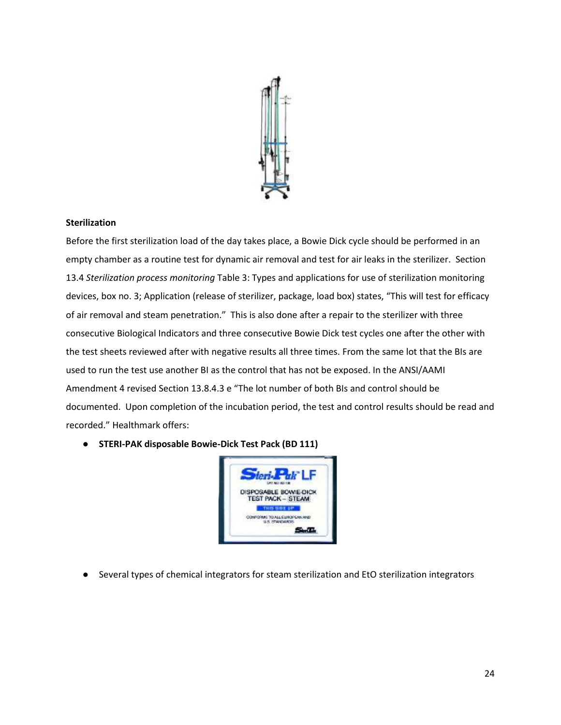

## **Sterilization**

Before the first sterilization load of the day takes place, a Bowie Dick cycle should be performed in an empty chamber as a routine test for dynamic air removal and test for air leaks in the sterilizer. Section 13.4 *Sterilization process monitoring* Table 3: Types and applications for use of sterilization monitoring devices, box no. 3; Application (release of sterilizer, package, load box) states, "This will test for efficacy of air removal and steam penetration." This is also done after a repair to the sterilizer with three consecutive Biological Indicators and three consecutive Bowie Dick test cycles one after the other with the test sheets reviewed after with negative results all three times. From the same lot that the BIs are used to run the test use another BI as the control that has not be exposed. In the ANSI/AAMI Amendment 4 revised Section 13.8.4.3 e "The lot number of both BIs and control should be documented. Upon completion of the incubation period, the test and control results should be read and recorded." Healthmark offers:

● **STERI-PAK disposable Bowie-Dick Test Pack (BD 111)**



● Several types of chemical integrators for steam sterilization and EtO sterilization integrators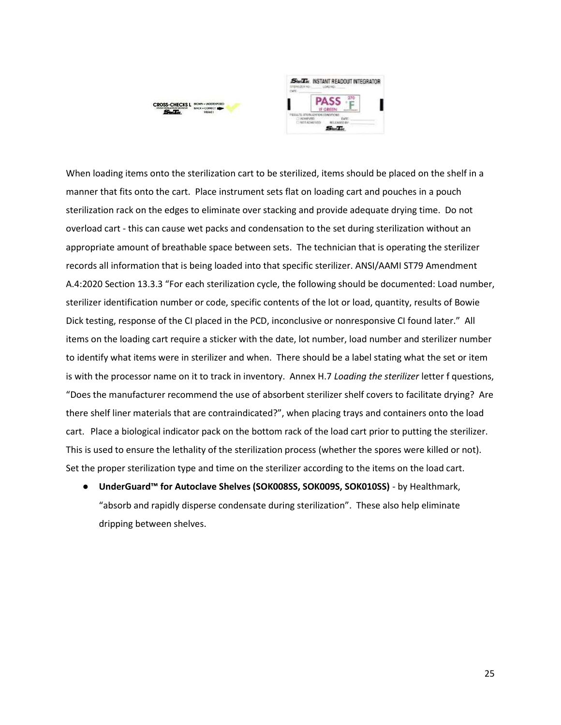



When loading items onto the sterilization cart to be sterilized, items should be placed on the shelf in a manner that fits onto the cart. Place instrument sets flat on loading cart and pouches in a pouch sterilization rack on the edges to eliminate over stacking and provide adequate drying time. Do not overload cart - this can cause wet packs and condensation to the set during sterilization without an appropriate amount of breathable space between sets. The technician that is operating the sterilizer records all information that is being loaded into that specific sterilizer. ANSI/AAMI ST79 Amendment A.4:2020 Section 13.3.3 "For each sterilization cycle, the following should be documented: Load number, sterilizer identification number or code, specific contents of the lot or load, quantity, results of Bowie Dick testing, response of the CI placed in the PCD, inconclusive or nonresponsive CI found later." All items on the loading cart require a sticker with the date, lot number, load number and sterilizer number to identify what items were in sterilizer and when. There should be a label stating what the set or item is with the processor name on it to track in inventory. Annex H.7 *Loading the sterilizer* letter f questions, "Does the manufacturer recommend the use of absorbent sterilizer shelf covers to facilitate drying? Are there shelf liner materials that are contraindicated?", when placing trays and containers onto the load cart. Place a biological indicator pack on the bottom rack of the load cart prior to putting the sterilizer. This is used to ensure the lethality of the sterilization process (whether the spores were killed or not). Set the proper sterilization type and time on the sterilizer according to the items on the load cart.

● **UnderGuard™ for Autoclave Shelves (SOK008SS, SOK009S, SOK010SS)** - by Healthmark, "absorb and rapidly disperse condensate during sterilization". These also help eliminate dripping between shelves.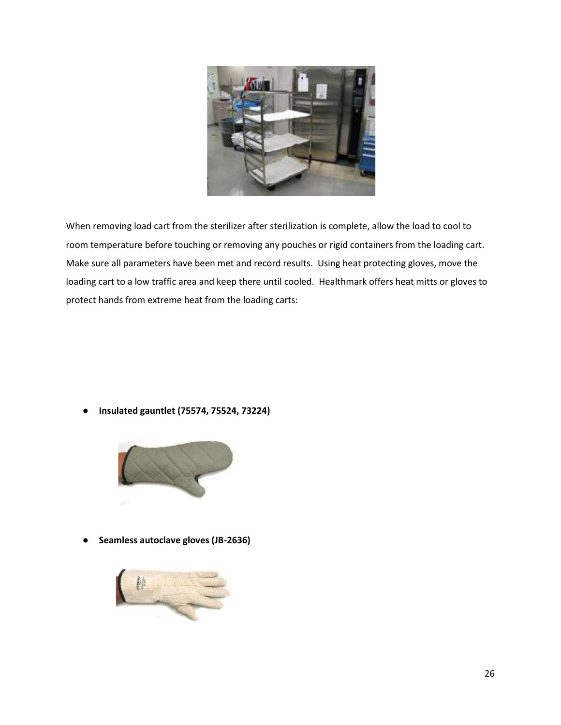

When removing load cart from the sterilizer after sterilization is complete, allow the load to cool to room temperature before touching or removing any pouches or rigid containers from the loading cart. Make sure all parameters have been met and record results. Using heat protecting gloves, move the loading cart to a low traffic area and keep there until cooled. Healthmark offers heat mitts or gloves to protect hands from extreme heat from the loading carts:

● **Insulated gauntlet (75574, 75524, 73224)**



● **Seamless autoclave gloves (JB-2636)**

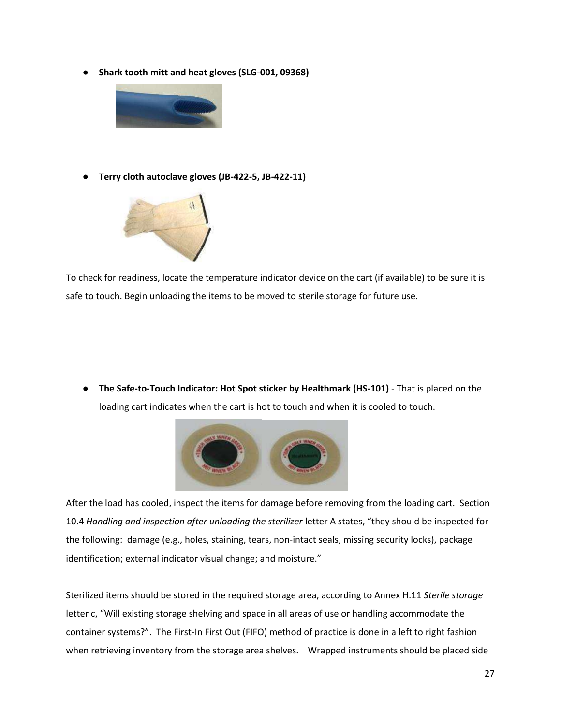● **Shark tooth mitt and heat gloves (SLG-001, 09368)**



● **Terry cloth autoclave gloves (JB-422-5, JB-422-11)** 



To check for readiness, locate the temperature indicator device on the cart (if available) to be sure it is safe to touch. Begin unloading the items to be moved to sterile storage for future use.

● **The Safe-to-Touch Indicator: Hot Spot sticker by Healthmark (HS-101)** - That is placed on the loading cart indicates when the cart is hot to touch and when it is cooled to touch.



After the load has cooled, inspect the items for damage before removing from the loading cart. Section 10.4 *Handling and inspection after unloading the sterilizer* letter A states, "they should be inspected for the following: damage (e.g., holes, staining, tears, non-intact seals, missing security locks), package identification; external indicator visual change; and moisture."

Sterilized items should be stored in the required storage area, according to Annex H.11 *Sterile storage* letter c, "Will existing storage shelving and space in all areas of use or handling accommodate the container systems?". The First-In First Out (FIFO) method of practice is done in a left to right fashion when retrieving inventory from the storage area shelves. Wrapped instruments should be placed side